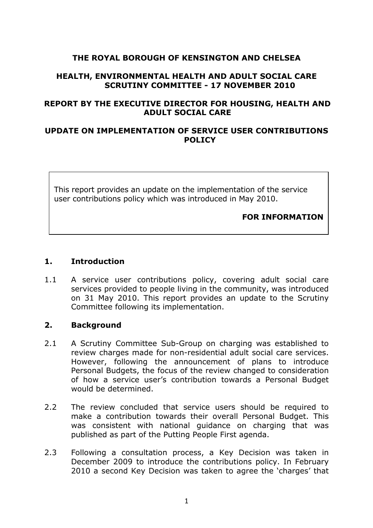# **THE ROYAL BOROUGH OF KENSINGTON AND CHELSEA**

#### **HEALTH, ENVIRONMENTAL HEALTH AND ADULT SOCIAL CARE SCRUTINY COMMITTEE - 17 NOVEMBER 2010**

## **REPORT BY THE EXECUTIVE DIRECTOR FOR HOUSING, HEALTH AND ADULT SOCIAL CARE**

### **UPDATE ON IMPLEMENTATION OF SERVICE USER CONTRIBUTIONS POLICY**

This report provides an update on the implementation of the service user contributions policy which was introduced in May 2010.

#### **FOR INFORMATION**

#### **1. Introduction**

1.1 A service user contributions policy, covering adult social care services provided to people living in the community, was introduced on 31 May 2010. This report provides an update to the Scrutiny Committee following its implementation.

### **2. Background**

- 2.1 A Scrutiny Committee Sub-Group on charging was established to review charges made for non-residential adult social care services. However, following the announcement of plans to introduce Personal Budgets, the focus of the review changed to consideration of how a service user's contribution towards a Personal Budget would be determined.
- 2.2 The review concluded that service users should be required to make a contribution towards their overall Personal Budget. This was consistent with national guidance on charging that was published as part of the Putting People First agenda.
- 2.3 Following a consultation process, a Key Decision was taken in December 2009 to introduce the contributions policy. In February 2010 a second Key Decision was taken to agree the 'charges' that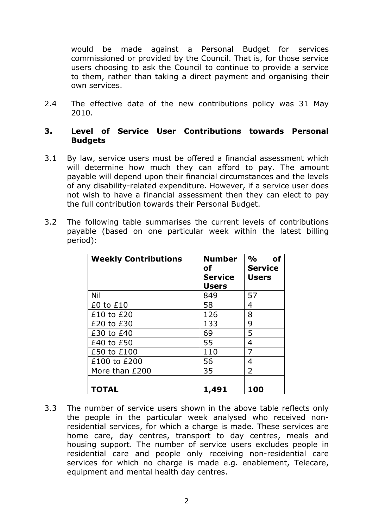would be made against a Personal Budget for services commissioned or provided by the Council. That is, for those service users choosing to ask the Council to continue to provide a service to them, rather than taking a direct payment and organising their own services.

2.4 The effective date of the new contributions policy was 31 May 2010.

#### **3. Level of Service User Contributions towards Personal Budgets**

- 3.1 By law, service users must be offered a financial assessment which will determine how much they can afford to pay. The amount payable will depend upon their financial circumstances and the levels of any disability-related expenditure. However, if a service user does not wish to have a financial assessment then they can elect to pay the full contribution towards their Personal Budget.
- 3.2 The following table summarises the current levels of contributions payable (based on one particular week within the latest billing period):

| <b>Weekly Contributions</b> | <b>Number</b><br><b>of</b><br><b>Service</b><br><b>Users</b> | %<br>of<br><b>Service</b><br><b>Users</b> |
|-----------------------------|--------------------------------------------------------------|-------------------------------------------|
| Nil                         | 849                                                          | 57                                        |
| $£0$ to $£10$               | 58                                                           | 4                                         |
| £10 to £20                  | 126                                                          | 8                                         |
| £20 to £30                  | 133                                                          | 9                                         |
| £30 to £40                  | 69                                                           | 5                                         |
| £40 to £50                  | 55                                                           | 4                                         |
| £50 to £100                 | 110                                                          | 7                                         |
| £100 to £200                | 56                                                           | 4                                         |
| More than £200              | 35                                                           | $\overline{2}$                            |
|                             |                                                              |                                           |
| <b>TOTAL</b>                | 1,491                                                        | 100                                       |

3.3 The number of service users shown in the above table reflects only the people in the particular week analysed who received nonresidential services, for which a charge is made. These services are home care, day centres, transport to day centres, meals and housing support. The number of service users excludes people in residential care and people only receiving non-residential care services for which no charge is made e.g. enablement, Telecare, equipment and mental health day centres.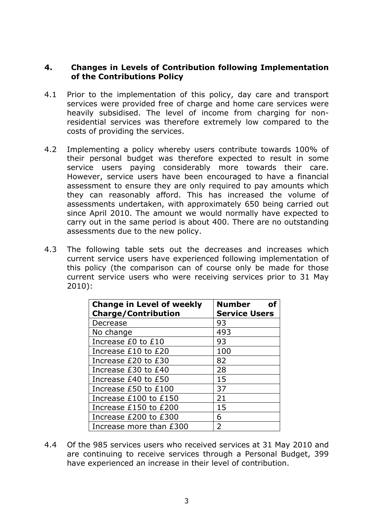## **4. Changes in Levels of Contribution following Implementation of the Contributions Policy**

- 4.1 Prior to the implementation of this policy, day care and transport services were provided free of charge and home care services were heavily subsidised. The level of income from charging for nonresidential services was therefore extremely low compared to the costs of providing the services.
- 4.2 Implementing a policy whereby users contribute towards 100% of their personal budget was therefore expected to result in some service users paying considerably more towards their care. However, service users have been encouraged to have a financial assessment to ensure they are only required to pay amounts which they can reasonably afford. This has increased the volume of assessments undertaken, with approximately 650 being carried out since April 2010. The amount we would normally have expected to carry out in the same period is about 400. There are no outstanding assessments due to the new policy.
- 4.3 The following table sets out the decreases and increases which current service users have experienced following implementation of this policy (the comparison can of course only be made for those current service users who were receiving services prior to 31 May 2010):

| <b>Change in Level of weekly</b><br><b>Charge/Contribution</b> | Number<br><b>Service Users</b> |
|----------------------------------------------------------------|--------------------------------|
| Decrease                                                       | 93                             |
| No change                                                      | 493                            |
| Increase £0 to £10                                             | 93                             |
| Increase £10 to £20                                            | 100                            |
| Increase £20 to £30                                            | 82                             |
| Increase £30 to £40                                            | 28                             |
| Increase £40 to £50                                            | 15                             |
| Increase £50 to £100                                           | 37                             |
| Increase £100 to £150                                          | 21                             |
| Increase £150 to £200                                          | 15                             |
| Increase £200 to £300                                          | 6                              |
| Increase more than £300                                        | $\overline{2}$                 |

4.4 Of the 985 services users who received services at 31 May 2010 and are continuing to receive services through a Personal Budget, 399 have experienced an increase in their level of contribution.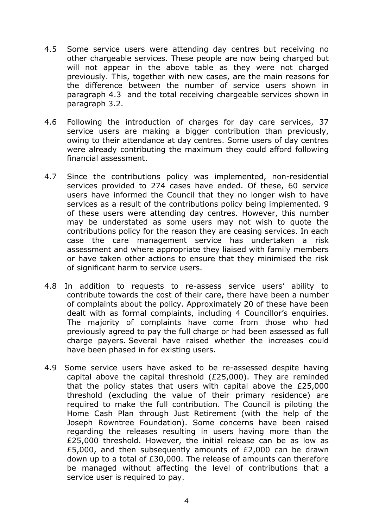- 4.5 Some service users were attending day centres but receiving no other chargeable services. These people are now being charged but will not appear in the above table as they were not charged previously. This, together with new cases, are the main reasons for the difference between the number of service users shown in paragraph 4.3 and the total receiving chargeable services shown in paragraph 3.2.
- 4.6 Following the introduction of charges for day care services, 37 service users are making a bigger contribution than previously, owing to their attendance at day centres. Some users of day centres were already contributing the maximum they could afford following financial assessment.
- 4.7 Since the contributions policy was implemented, non-residential services provided to 274 cases have ended. Of these, 60 service users have informed the Council that they no longer wish to have services as a result of the contributions policy being implemented. 9 of these users were attending day centres. However, this number may be understated as some users may not wish to quote the contributions policy for the reason they are ceasing services. In each case the care management service has undertaken a risk assessment and where appropriate they liaised with family members or have taken other actions to ensure that they minimised the risk of significant harm to service users.
- 4.8 In addition to requests to re-assess service users' ability to contribute towards the cost of their care, there have been a number of complaints about the policy. Approximately 20 of these have been dealt with as formal complaints, including 4 Councillor's enquiries. The majority of complaints have come from those who had previously agreed to pay the full charge or had been assessed as full charge payers. Several have raised whether the increases could have been phased in for existing users.
- 4.9 Some service users have asked to be re-assessed despite having capital above the capital threshold (£25,000). They are reminded that the policy states that users with capital above the £25,000 threshold (excluding the value of their primary residence) are required to make the full contribution. The Council is piloting the Home Cash Plan through Just Retirement (with the help of the Joseph Rowntree Foundation). Some concerns have been raised regarding the releases resulting in users having more than the £25,000 threshold. However, the initial release can be as low as £5,000, and then subsequently amounts of £2,000 can be drawn down up to a total of £30,000. The release of amounts can therefore be managed without affecting the level of contributions that a service user is required to pay.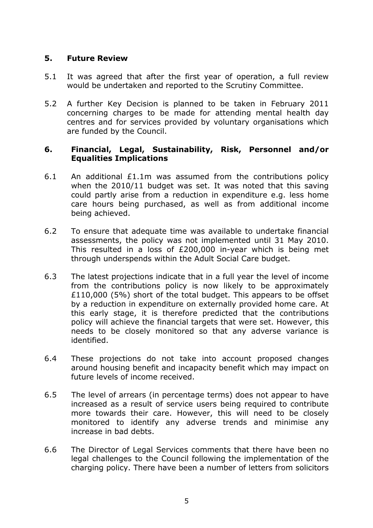### **5. Future Review**

- 5.1 It was agreed that after the first year of operation, a full review would be undertaken and reported to the Scrutiny Committee.
- 5.2 A further Key Decision is planned to be taken in February 2011 concerning charges to be made for attending mental health day centres and for services provided by voluntary organisations which are funded by the Council.

### **6. Financial, Legal, Sustainability, Risk, Personnel and/or Equalities Implications**

- 6.1 An additional £1.1m was assumed from the contributions policy when the 2010/11 budget was set. It was noted that this saving could partly arise from a reduction in expenditure e.g. less home care hours being purchased, as well as from additional income being achieved.
- 6.2 To ensure that adequate time was available to undertake financial assessments, the policy was not implemented until 31 May 2010. This resulted in a loss of £200,000 in-year which is being met through underspends within the Adult Social Care budget.
- 6.3 The latest projections indicate that in a full year the level of income from the contributions policy is now likely to be approximately £110,000 (5%) short of the total budget. This appears to be offset by a reduction in expenditure on externally provided home care. At this early stage, it is therefore predicted that the contributions policy will achieve the financial targets that were set. However, this needs to be closely monitored so that any adverse variance is identified.
- 6.4 These projections do not take into account proposed changes around housing benefit and incapacity benefit which may impact on future levels of income received.
- 6.5 The level of arrears (in percentage terms) does not appear to have increased as a result of service users being required to contribute more towards their care. However, this will need to be closely monitored to identify any adverse trends and minimise any increase in bad debts.
- 6.6 The Director of Legal Services comments that there have been no legal challenges to the Council following the implementation of the charging policy. There have been a number of letters from solicitors